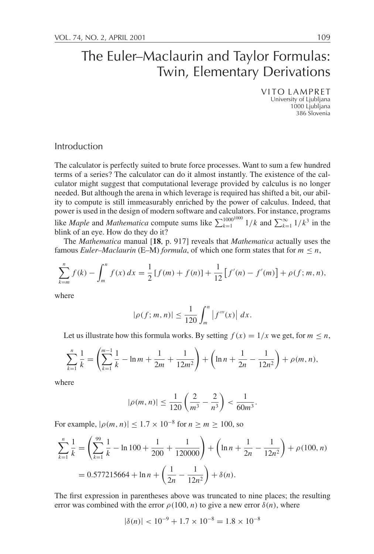VITO LAMPRET University of Ljubljana 1000 Ljubljana 386 Slovenia

# Introduction

The calculator is perfectly suited to brute force processes. Want to sum a few hundred terms of a series? The calculator can do it almost instantly. The existence of the calculator might suggest that computational leverage provided by calculus is no longer needed. But although the arena in which leverage is required has shifted a bit, our ability to compute is still immeasurably enriched by the power of calculus. Indeed, that power is used in the design of modern software and calculators. For instance, programs like *Maple* and *Mathematica* compute sums like  $\sum_{k=1}^{1000^{1000}} 1/k$  and  $\sum_{k=1}^{\infty} 1/k^3$  in the blink of an eye. How do they do it?

The *Mathematica* manual [**18**, p. 917] reveals that *Mathematica* actually uses the famous *Euler–Maclaurin* (E–M) *formula*, of which one form states that for  $m \leq n$ ,

$$
\sum_{k=m}^{n} f(k) - \int_{m}^{n} f(x) dx = \frac{1}{2} [f(m) + f(n)] + \frac{1}{12} [f'(n) - f'(m)] + \rho(f; m, n),
$$

where

$$
|\rho(f; m, n)| \le \frac{1}{120} \int_m^n |f'''(x)| dx.
$$

Let us illustrate how this formula works. By setting  $f(x) = 1/x$  we get, for  $m \le n$ ,

$$
\sum_{k=1}^{n} \frac{1}{k} = \left( \sum_{k=1}^{m-1} \frac{1}{k} - \ln m + \frac{1}{2m} + \frac{1}{12m^2} \right) + \left( \ln n + \frac{1}{2n} - \frac{1}{12n^2} \right) + \rho(m, n),
$$

where

$$
|\rho(m, n)| \le \frac{1}{120} \left( \frac{2}{m^3} - \frac{2}{n^3} \right) < \frac{1}{60m^3}.
$$

For example,  $|\rho(m, n)| \leq 1.7 \times 10^{-8}$  for  $n \geq m \geq 100$ , so

$$
\sum_{k=1}^{n} \frac{1}{k} = \left( \sum_{k=1}^{99} \frac{1}{k} - \ln 100 + \frac{1}{200} + \frac{1}{120000} \right) + \left( \ln n + \frac{1}{2n} - \frac{1}{12n^2} \right) + \rho(100, n)
$$
  
= 0.577215664 + \ln n + \left( \frac{1}{2n} - \frac{1}{12n^2} \right) + \delta(n).

The first expression in parentheses above was truncated to nine places; the resulting error was combined with the error  $\rho(100, n)$  to give a new error  $\delta(n)$ , where

$$
|\delta(n)| < 10^{-9} + 1.7 \times 10^{-8} = 1.8 \times 10^{-8}
$$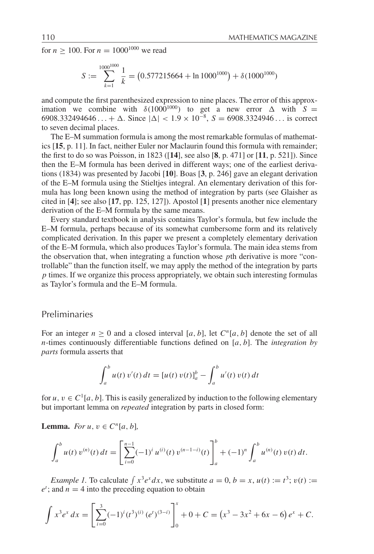for  $n \ge 100$ . For  $n = 1000^{1000}$  we read

$$
S := \sum_{k=1}^{1000^{1000}} \frac{1}{k} = (0.577215664 + \ln 1000^{1000}) + \delta (1000^{1000})
$$

and compute the first parenthesized expression to nine places. The error of this approximation we combine with  $\delta(1000^{1000})$  to get a new error  $\Delta$  with  $S =$ 6908.332494646... +  $\Delta$ . Since  $|\Delta|$  < 1.9 × 10<sup>-8</sup>, *S* = 6908.3324946... is correct to seven decimal places.

The E–M summation formula is among the most remarkable formulas of mathematics [**15**, p. 11]. In fact, neither Euler nor Maclaurin found this formula with remainder; the first to do so was Poisson, in 1823 ([**14**], see also [**8**, p. 471] or [**11**, p. 521]). Since then the E–M formula has been derived in different ways; one of the earliest derivations (1834) was presented by Jacobi [**10**]. Boas [**3**, p. 246] gave an elegant derivation of the E–M formula using the Stieltjes integral. An elementary derivation of this formula has long been known using the method of integration by parts (see Glaisher as cited in [**4**]; see also [**17**, pp. 125, 127]). Apostol [**1**] presents another nice elementary derivation of the E–M formula by the same means.

Every standard textbook in analysis contains Taylor's formula, but few include the E–M formula, perhaps because of its somewhat cumbersome form and its relatively complicated derivation. In this paper we present a completely elementary derivation of the E–M formula, which also produces Taylor's formula. The main idea stems from the observation that, when integrating a function whose *p*th derivative is more "controllable" than the function itself, we may apply the method of the integration by parts *p* times. If we organize this process appropriately, we obtain such interesting formulas as Taylor's formula and the E–M formula.

#### Preliminaries

For an integer  $n \geq 0$  and a closed interval [a, b], let  $C^n[a, b]$  denote the set of all *n*-times continuously differentiable functions defined on [*a*, *b*]. The *integration by parts* formula asserts that

$$
\int_a^b u(t) \, v'(t) \, dt = [u(t) \, v(t)]_a^b - \int_a^b u'(t) \, v(t) \, dt
$$

for  $u, v \in C^1[a, b]$ . This is easily generalized by induction to the following elementary but important lemma on *repeated* integration by parts in closed form:

**Lemma.** *For*  $u, v \in C^n[a, b]$ ,

$$
\int_a^b u(t) \, v^{(n)}(t) \, dt = \left[ \sum_{i=0}^{n-1} (-1)^i \, u^{(i)}(t) \, v^{(n-1-i)}(t) \right]_a^b + (-1)^n \int_a^b u^{(n)}(t) \, v(t) \, dt.
$$

*Example 1.* To calculate  $\int x^3 e^x dx$ , we substitute  $a = 0, b = x, u(t) := t^3$ ;  $v(t) :=$  $e^t$ ; and  $n = 4$  into the preceding equation to obtain

$$
\int x^3 e^x dx = \left[ \sum_{i=0}^3 (-1)^i (t^3)^{(i)} (e^t)^{(3-i)} \right]_0^x + 0 + C = (x^3 - 3x^2 + 6x - 6) e^x + C.
$$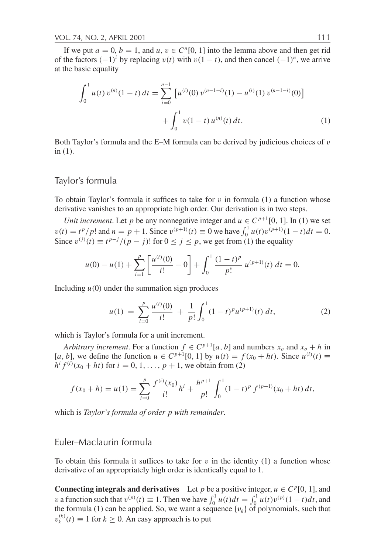If we put  $a = 0$ ,  $b = 1$ , and  $u, v \in C<sup>n</sup>[0, 1]$  into the lemma above and then get rid of the factors  $(-1)^i$  by replacing  $v(t)$  with  $v(1-t)$ , and then cancel  $(-1)^n$ , we arrive at the basic equality

$$
\int_0^1 u(t) v^{(n)}(1-t) dt = \sum_{i=0}^{n-1} \left[ u^{(i)}(0) v^{(n-1-i)}(1) - u^{(i)}(1) v^{(n-1-i)}(0) \right] + \int_0^1 v(1-t) u^{(n)}(t) dt.
$$
 (1)

Both Taylor's formula and the E–M formula can be derived by judicious choices of  $v$ in (1).

### Taylor's formula

To obtain Taylor's formula it suffices to take for  $v$  in formula (1) a function whose derivative vanishes to an appropriate high order. Our derivation is in two steps.

*Unit increment*. Let *p* be any nonnegative integer and  $u \in C^{p+1}[0, 1]$ . In (1) we set  $v(t) = t^p/p!$  and  $n = p + 1$ . Since  $v^{(p+1)}(t) \equiv 0$  we have  $\int_0^1 u(t)v^{(p+1)}(1-t)dt = 0$ . Since  $v^{(j)}(t) \equiv t^{p-j}/(p-j)!$  for  $0 \le j \le p$ , we get from (1) the equality

$$
u(0) - u(1) + \sum_{i=1}^{p} \left[ \frac{u^{(i)}(0)}{i!} - 0 \right] + \int_0^1 \frac{(1-t)^p}{p!} u^{(p+1)}(t) dt = 0.
$$

Including  $u(0)$  under the summation sign produces

$$
u(1) = \sum_{i=0}^{p} \frac{u^{(i)}(0)}{i!} + \frac{1}{p!} \int_{0}^{1} (1-t)^{p} u^{(p+1)}(t) dt,
$$
 (2)

which is Taylor's formula for a unit increment.

*Arbitrary increment*. For a function  $f \in C^{p+1}[a, b]$  and numbers  $x_o$  and  $x_o + h$  in [*a*, *b*], we define the function *u* ∈  $C^{p+1}[0, 1]$  by  $u(t) = f(x_0 + ht)$ . Since  $u^{(i)}(t)$  ≡  $h^{i} f^{(i)}(x_0 + ht)$  for  $i = 0, 1, ..., p + 1$ , we obtain from (2)

$$
f(x_0 + h) = u(1) = \sum_{i=0}^{p} \frac{f^{(i)}(x_0)}{i!} h^i + \frac{h^{p+1}}{p!} \int_0^1 (1-t)^p f^{(p+1)}(x_0 + ht) dt,
$$

which is *Taylor's formula of order p with remainder*.

## Euler–Maclaurin formula

To obtain this formula it suffices to take for  $v$  in the identity (1) a function whose derivative of an appropriately high order is identically equal to 1.

**Connecting integrals and derivatives** Let *p* be a positive integer,  $u \in C^p[0, 1]$ , and *v* a function such that  $v^{(p)}(t) \equiv 1$ . Then we have  $\int_0^1 u(t)dt = \int_0^1 u(t)v^{(p)}(1-t)dt$ , and the formula (1) can be applied. So, we want a sequence  $\{v_k\}$  of polynomials, such that  $v_k^{(k)}(t) \equiv 1$  for  $k \ge 0$ . An easy approach is to put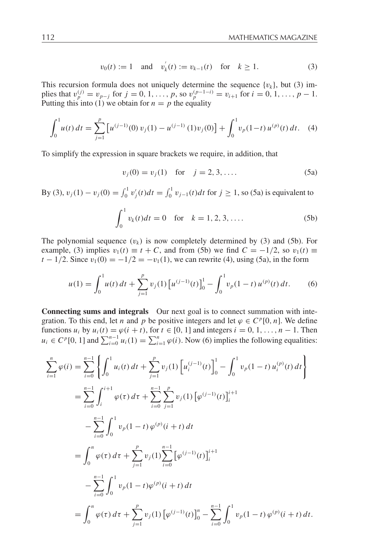$$
v_0(t) := 1
$$
 and  $v'_k(t) := v_{k-1}(t)$  for  $k \ge 1$ . (3)

This recursion formula does not uniquely determine the sequence  $\{v_k\}$ , but (3) im- $\text{plies that } v_p^{(j)} = v_{p-j} \text{ for } j = 0, 1, \ldots, p, \text{ so } v_p^{(p-1-i)} = v_{i+1} \text{ for } i = 0, 1, \ldots, p-1.$ Putting this into (1) we obtain for  $n = p$  the equality

$$
\int_0^1 u(t) dt = \sum_{j=1}^p \left[ u^{(j-1)}(0) v_j(1) - u^{(j-1)}(1) v_j(0) \right] + \int_0^1 v_p(1-t) u^{(p)}(t) dt. \tag{4}
$$

To simplify the expression in square brackets we require, in addition, that

$$
v_j(0) = v_j(1) \text{ for } j = 2, 3, .... \tag{5a}
$$

By (3),  $v_j(1) - v_j(0) = \int_0^1 v'_j(t)dt = \int_0^1 v_{j-1}(t)dt$  for  $j \ge 1$ , so (5a) is equivalent to

$$
\int_0^1 v_k(t)dt = 0 \text{ for } k = 1, 2, 3, .... \tag{5b}
$$

The polynomial sequence  $(v_k)$  is now completely determined by (3) and (5b). For example, (3) implies  $v_1(t) \equiv t + C$ , and from (5b) we find  $C = -1/2$ , so  $v_1(t) \equiv$ *t* − 1/2. Since  $v_1(0) = -1/2 = -v_1(1)$ , we can rewrite (4), using (5a), in the form

$$
u(1) = \int_0^1 u(t) dt + \sum_{j=1}^p v_j(1) \left[ u^{(j-1)}(t) \right]_0^1 - \int_0^1 v_p(1-t) u^{(p)}(t) dt.
$$
 (6)

**Connecting sums and integrals** Our next goal is to connect summation with integration. To this end, let *n* and *p* be positive integers and let  $\varphi \in C^p[0, n]$ . We define functions  $u_i$  by  $u_i(t) = \varphi(i + t)$ , for  $t \in [0, 1]$  and integers  $i = 0, 1, \ldots, n - 1$ . Then  $u_i \in C^p[0, 1]$  and  $\sum_{i=0}^{n-1} u_i(1) = \sum_{i=1}^n \varphi(i)$ . Now (6) implies the following equalities:

$$
\sum_{i=1}^{n} \varphi(i) = \sum_{i=0}^{n-1} \left\{ \int_{0}^{1} u_{i}(t) dt + \sum_{j=1}^{p} v_{j}(1) \left[ u_{i}^{(j-1)}(t) \right]_{0}^{1} - \int_{0}^{1} v_{p}(1-t) u_{i}^{(p)}(t) dt \right\}
$$
  
\n
$$
= \sum_{i=0}^{n-1} \int_{i}^{i+1} \varphi(\tau) d\tau + \sum_{i=0}^{n-1} \sum_{j=1}^{p} v_{j}(1) \left[ \varphi^{(j-1)}(t) \right]_{i}^{i+1}
$$
  
\n
$$
- \sum_{i=0}^{n-1} \int_{0}^{1} v_{p}(1-t) \varphi^{(p)}(i+t) dt
$$
  
\n
$$
= \int_{0}^{n} \varphi(\tau) d\tau + \sum_{j=1}^{p} v_{j}(1) \sum_{i=0}^{n-1} \left[ \varphi^{(j-1)}(t) \right]_{i}^{i+1}
$$
  
\n
$$
- \sum_{i=0}^{n-1} \int_{0}^{1} v_{p}(1-t) \varphi^{(p)}(i+t) dt
$$
  
\n
$$
= \int_{0}^{n} \varphi(\tau) d\tau + \sum_{j=1}^{p} v_{j}(1) \left[ \varphi^{(j-1)}(t) \right]_{0}^{n} - \sum_{i=0}^{n-1} \int_{0}^{1} v_{p}(1-t) \varphi^{(p)}(i+t) dt.
$$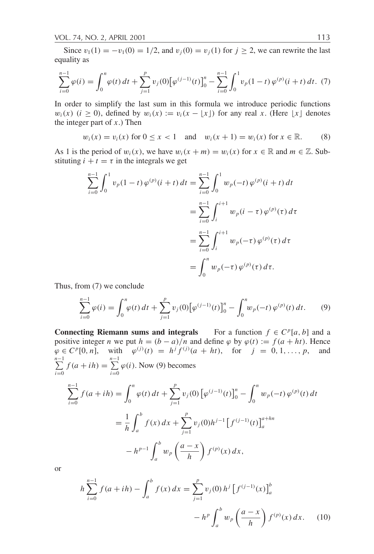Since  $v_1(1) = -v_1(0) = 1/2$ , and  $v_j(0) = v_j(1)$  for  $j \ge 2$ , we can rewrite the last equality as

$$
\sum_{i=0}^{n-1} \varphi(i) = \int_0^n \varphi(t) dt + \sum_{j=1}^p v_j(0) [\varphi^{(j-1)}(t)]_0^n - \sum_{i=0}^{n-1} \int_0^1 v_p(1-t) \varphi^{(p)}(i+t) dt. (7)
$$

In order to simplify the last sum in this formula we introduce periodic functions  $w_i(x)$  (*i*  $\geq$  0), defined by  $w_i(x) := v_i(x - |x|)$  for any real *x*. (Here  $|x|$  denotes the integer part of *x*.) Then

$$
w_i(x) = v_i(x)
$$
 for  $0 \le x < 1$  and  $w_i(x + 1) = w_i(x)$  for  $x \in \mathbb{R}$ . (8)

As 1 is the period of  $w_i(x)$ , we have  $w_i(x + m) = w_i(x)$  for  $x \in \mathbb{R}$  and  $m \in \mathbb{Z}$ . Substituting  $i + t = \tau$  in the integrals we get

$$
\sum_{i=0}^{n-1} \int_0^1 v_p(1-t) \varphi^{(p)}(i+t) dt = \sum_{i=0}^{n-1} \int_0^1 w_p(-t) \varphi^{(p)}(i+t) dt
$$
  
= 
$$
\sum_{i=0}^{n-1} \int_i^{i+1} w_p(i-\tau) \varphi^{(p)}(\tau) d\tau
$$
  
= 
$$
\sum_{i=0}^{n-1} \int_i^{i+1} w_p(-\tau) \varphi^{(p)}(\tau) d\tau
$$
  
= 
$$
\int_0^n w_p(-\tau) \varphi^{(p)}(\tau) d\tau.
$$

Thus, from (7) we conclude

$$
\sum_{i=0}^{n-1} \varphi(i) = \int_0^n \varphi(t) dt + \sum_{j=1}^p v_j(0) \big[ \varphi^{(j-1)}(t) \big]_0^n - \int_0^n w_p(-t) \, \varphi^{(p)}(t) dt. \tag{9}
$$

**Connecting Riemann sums and integrals** For a function  $f \in C^p[a, b]$  and a positive integer *n* we put  $h = (b - a)/n$  and define  $\varphi$  by  $\varphi(t) := f(a + ht)$ . Hence  $\varphi \in C^p[0, n],$  with  $\varphi^{(j)}(t) = h^j f^{(j)}(a + ht),$  for  $j = 0, 1, ..., p,$  and *n*<sup>-1</sup><br>∑ *i*=0  $f(a + ih) = \sum_{n=1}^{n-1}$ *i*=0  $\varphi(i)$ . Now (9) becomes -*n*−1 *i*=0  $f(a+ih) = \int^{h}$ 0  $\varphi(t) dt + \sum_{r=1}^{p}$ *j*=1  $v_j(0) \left[ \varphi^{(j-1)}(t) \right]_0^n$  *<sup>n</sup>*  $w_p(-t) \varphi^{(p)}(t) dt$  $=\frac{1}{1}$ *h <sup>b</sup> a*  $f(x) dx + \sum_{r=0}^{p}$ *j*=1  $v_j(0)h^{j-1}\left[f^{(j-1)}(t)\right]_a^{a+hn}$  $-h^{p-1}$  $\int^b$  $\int_a^b w_p \left( \frac{a-x}{h} \right)$ *h*  $\int f^{(p)}(x) dx$ ,

or

$$
h\sum_{i=0}^{n-1} f(a+ih) - \int_{a}^{b} f(x) dx = \sum_{j=1}^{p} v_j(0) h^j \left[f^{(j-1)}(x)\right]_a^b
$$

$$
- h^p \int_{a}^{b} w_p \left(\frac{a-x}{h}\right) f^{(p)}(x) dx. \tag{10}
$$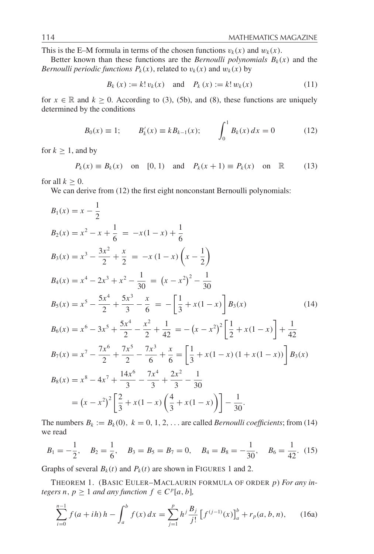This is the E–M formula in terms of the chosen functions  $v_k(x)$  and  $w_k(x)$ .

Better known than these functions are the *Bernoulli polynomials*  $B_k(x)$  and the *Bernoulli periodic functions*  $P_k(x)$ *, related to*  $v_k(x)$  *and*  $w_k(x)$  *by* 

$$
B_k(x) := k! v_k(x)
$$
 and  $P_k(x) := k! w_k(x)$  (11)

for  $x \in \mathbb{R}$  and  $k \ge 0$ . According to (3), (5b), and (8), these functions are uniquely determined by the conditions

$$
B_0(x) \equiv 1; \qquad B'_k(x) \equiv k B_{k-1}(x); \qquad \int_0^1 B_k(x) \, dx = 0 \tag{12}
$$

for  $k \geq 1$ , and by

$$
P_k(x) \equiv B_k(x)
$$
 on [0, 1) and  $P_k(x + 1) \equiv P_k(x)$  on  $\mathbb{R}$  (13)

for all  $k \geq 0$ .

We can derive from  $(12)$  the first eight nonconstant Bernoulli polynomials:

$$
B_1(x) = x - \frac{1}{2}
$$
  
\n
$$
B_2(x) = x^2 - x + \frac{1}{6} = -x(1-x) + \frac{1}{6}
$$
  
\n
$$
B_3(x) = x^3 - \frac{3x^2}{2} + \frac{x}{2} = -x(1-x)\left(x - \frac{1}{2}\right)
$$
  
\n
$$
B_4(x) = x^4 - 2x^3 + x^2 - \frac{1}{30} = (x - x^2)^2 - \frac{1}{30}
$$
  
\n
$$
B_5(x) = x^5 - \frac{5x^4}{2} + \frac{5x^3}{3} - \frac{x}{6} = -\left[\frac{1}{3} + x(1-x)\right]B_3(x)
$$
  
\n
$$
B_6(x) = x^6 - 3x^5 + \frac{5x^4}{2} - \frac{x^2}{2} + \frac{1}{42} = -(x - x^2)^2 \left[\frac{1}{2} + x(1 - x)\right] + \frac{1}{42}
$$
  
\n
$$
B_7(x) = x^7 - \frac{7x^6}{2} + \frac{7x^5}{2} - \frac{7x^3}{6} + \frac{x}{6} = \left[\frac{1}{3} + x(1 - x)(1 + x(1 - x))\right]B_3(x)
$$
  
\n
$$
B_8(x) = x^8 - 4x^7 + \frac{14x^6}{3} - \frac{7x^4}{3} + \frac{2x^2}{3} - \frac{1}{30}
$$
  
\n
$$
= (x - x^2)^2 \left[\frac{2}{3} + x(1 - x)\left(\frac{4}{3} + x(1 - x)\right)\right] - \frac{1}{30}.
$$

The numbers  $B_k := B_k(0)$ ,  $k = 0, 1, 2, \ldots$  are called *Bernoulli coefficients*; from (14) we read

$$
B_1 = -\frac{1}{2}
$$
,  $B_2 = \frac{1}{6}$ ,  $B_3 = B_5 = B_7 = 0$ ,  $B_4 = B_8 = -\frac{1}{30}$ ,  $B_6 = \frac{1}{42}$ . (15)

Graphs of several  $B_k(t)$  and  $P_k(t)$  are shown in FIGURES 1 and 2.

THEOREM 1. (BASIC EULER–MACLAURIN FORMULA OF ORDER *p*) *For any integers n, p*  $\geq$  1 *and any function f*  $\in$   $C^p[a, b]$ *,* 

$$
\sum_{i=0}^{n-1} f(a+ih) h - \int_{a}^{b} f(x) dx = \sum_{j=1}^{p} h^{j} \frac{B_{j}}{j!} \left[ f^{(j-1)}(x) \right]_{a}^{b} + r_{p}(a, b, n), \tag{16a}
$$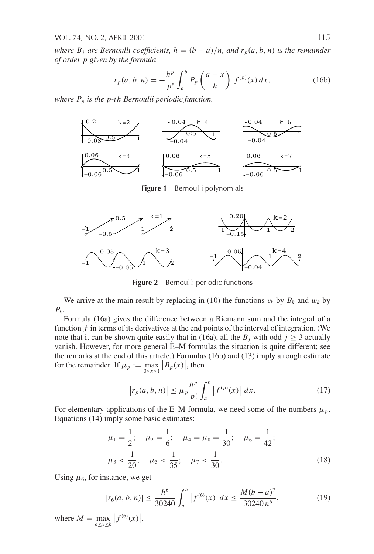*where*  $B_j$  *are Bernoulli coefficients,*  $h = (b - a)/n$ *, and*  $r_p(a, b, n)$  *is the remainder of order p given by the formula*

$$
r_p(a, b, n) = -\frac{h^p}{p!} \int_a^b P_p\left(\frac{a - x}{h}\right) f^{(p)}(x) dx,
$$
 (16b)

*where Pp is the p-th Bernoulli periodic function.*



**Figure 1** Bernoulli polynomials



**Figure 2** Bernoulli periodic functions

We arrive at the main result by replacing in (10) the functions  $v_k$  by  $B_k$  and  $w_k$  by  $P_k$ .

Formula (16a) gives the difference between a Riemann sum and the integral of a function *f* in terms of its derivatives at the end points of the interval of integration. (We note that it can be shown quite easily that in (16a), all the  $B_j$  with odd  $j \geq 3$  actually vanish. However, for more general E–M formulas the situation is quite different; see the remarks at the end of this article.) Formulas (16b) and (13) imply a rough estimate for the remainder. If  $\mu_p := \max_{0 \le x \le 1} |B_p(x)|$ , then

$$
\left| r_p(a, b, n) \right| \le \mu_p \frac{h^p}{p!} \int_a^b \left| f^{(p)}(x) \right| \, dx. \tag{17}
$$

For elementary applications of the E–M formula, we need some of the numbers  $\mu_p$ . Equations (14) imply some basic estimates:

$$
\mu_1 = \frac{1}{2}; \quad \mu_2 = \frac{1}{6}; \quad \mu_4 = \mu_8 = \frac{1}{30}; \quad \mu_6 = \frac{1}{42};
$$
  

$$
\mu_3 < \frac{1}{20}; \quad \mu_5 < \frac{1}{35}; \quad \mu_7 < \frac{1}{30}.
$$
  
(18)

Using  $\mu_6$ , for instance, we get

$$
|r_6(a, b, n)| \le \frac{h^6}{30240} \int_a^b |f^{(6)}(x)| dx \le \frac{M(b-a)^7}{30240 n^6},
$$
 (19)

where  $M = \max_{a \le x \le b} |f^{(6)}(x)|$ .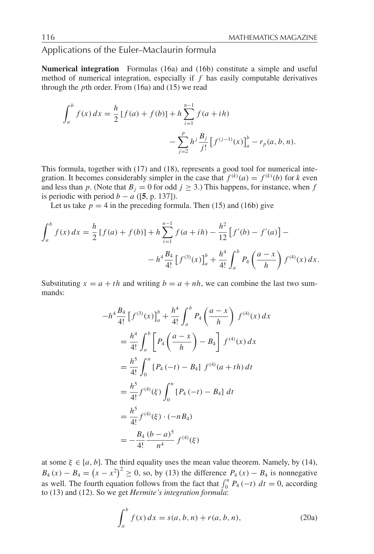# Applications of the Euler–Maclaurin formula

**Numerical integration** Formulas (16a) and (16b) constitute a simple and useful method of numerical integration, especially if *f* has easily computable derivatives through the *p*th order. From (16a) and (15) we read

$$
\int_{a}^{b} f(x) dx = \frac{h}{2} [f(a) + f(b)] + h \sum_{i=1}^{n-1} f(a + ih)
$$

$$
- \sum_{j=2}^{p} h^{j} \frac{B_{j}}{j!} [f^{(j-1)}(x)]_{a}^{b} - r_{p}(a, b, n).
$$

This formula, together with (17) and (18), represents a good tool for numerical integration. It becomes considerably simpler in the case that  $f^{(k)}(a) = f^{(k)}(b)$  for *k* even and less than *p*. (Note that  $B_j = 0$  for odd  $j \ge 3$ .) This happens, for instance, when *f* is periodic with period  $b - a$  ([5, p. 137]).

Let us take  $p = 4$  in the preceding formula. Then (15) and (16b) give

$$
\int_{a}^{b} f(x) dx = \frac{h}{2} [f(a) + f(b)] + h \sum_{i=1}^{n-1} f(a + ih) - \frac{h^{2}}{12} [f'(b) - f'(a)] -
$$

$$
- h^{4} \frac{B_{4}}{4!} [f^{(3)}(x)]_{a}^{b} + \frac{h^{4}}{4!} \int_{a}^{b} P_{4} \left( \frac{a - x}{h} \right) f^{(4)}(x) dx.
$$

Substituting  $x = a + th$  and writing  $b = a + nh$ , we can combine the last two summands:

$$
-h^4 \frac{B_4}{4!} \left[ f^{(3)}(x) \right]_a^b + \frac{h^4}{4!} \int_a^b P_4 \left( \frac{a-x}{h} \right) f^{(4)}(x) dx
$$
  
\n
$$
= \frac{h^4}{4!} \int_a^b \left[ P_4 \left( \frac{a-x}{h} \right) - B_4 \right] f^{(4)}(x) dx
$$
  
\n
$$
= \frac{h^5}{4!} \int_0^n \left[ P_4 \left( -t \right) - B_4 \right] f^{(4)}(a+th) dt
$$
  
\n
$$
= \frac{h^5}{4!} f^{(4)}(\xi) \int_0^n \left[ P_4 \left( -t \right) - B_4 \right] dt
$$
  
\n
$$
= \frac{h^5}{4!} f^{(4)}(\xi) \cdot (-nB_4)
$$
  
\n
$$
= -\frac{B_4}{4!} \frac{(b-a)^5}{n^4} f^{(4)}(\xi)
$$

at some  $\xi \in [a, b]$ . The third equality uses the mean value theorem. Namely, by (14),  $B_4(x) - B_4 = (x - x^2)^2 \ge 0$ , so, by (13) the difference  $P_4(x) - B_4$  is nonnegative as well. The fourth equation follows from the fact that  $\int_0^n P_4(-t) dt = 0$ , according to (13) and (12). So we get *Hermite's integration formula*:

$$
\int_{a}^{b} f(x) dx = s(a, b, n) + r(a, b, n),
$$
 (20a)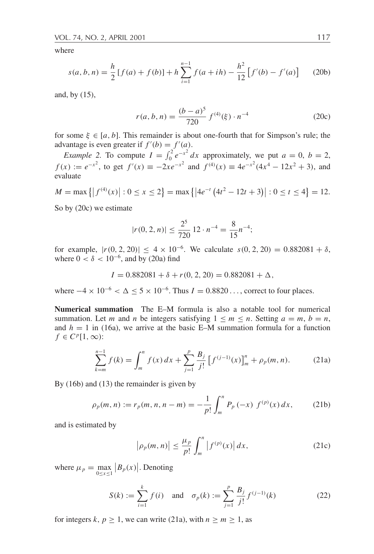where

$$
s(a, b, n) = \frac{h}{2} [f(a) + f(b)] + h \sum_{i=1}^{n-1} f(a + ih) - \frac{h^2}{12} [f'(b) - f'(a)] \tag{20b}
$$

and, by (15),

$$
r(a, b, n) = \frac{(b - a)^5}{720} f^{(4)}(\xi) \cdot n^{-4}
$$
 (20c)

for some  $\xi \in [a, b]$ . This remainder is about one-fourth that for Simpson's rule; the advantage is even greater if  $f'(b) = f'(a)$ .

*Example 2.* To compute  $I = \int_0^2 e^{-x^2} dx$  approximately, we put  $a = 0$ ,  $b = 2$ , *f*(*x*) :=  $e^{-x^2}$ , to get  $f'(x) \equiv -2xe^{-x^2}$  and  $f^{(4)}(x) \equiv 4e^{-x^2}(4x^4 - 12x^2 + 3)$ , and evaluate

$$
M = \max\left\{ \left| f^{(4)}(x) \right| : 0 \le x \le 2 \right\} = \max\left\{ \left| 4e^{-t} \left( 4t^2 - 12t + 3 \right) \right| : 0 \le t \le 4 \right\} = 12.
$$

So by (20c) we estimate

$$
|r(0, 2, n)| \le \frac{2^5}{720} 12 \cdot n^{-4} = \frac{8}{15} n^{-4};
$$

for example,  $|r(0, 2, 20)| \le 4 \times 10^{-6}$ . We calculate  $s(0, 2, 20) = 0.882081 + \delta$ , where  $0 < \delta < 10^{-6}$ , and by (20a) find

 $I = 0.882081 + \delta + r(0, 2, 20) = 0.882081 + \Delta$ ,

where  $-4 \times 10^{-6} < \Delta \le 5 \times 10^{-6}$ . Thus  $I = 0.8820...$ , correct to four places.

**Numerical summation** The E–M formula is also a notable tool for numerical summation. Let *m* and *n* be integers satisfying  $1 \le m \le n$ . Setting  $a = m$ ,  $b = n$ , and  $h = 1$  in (16a), we arrive at the basic E–M summation formula for a function  $f \in C^p[1,\infty)$ :

$$
\sum_{k=m}^{n-1} f(k) = \int_m^n f(x) \, dx + \sum_{j=1}^p \frac{B_j}{j!} \left[ f^{(j-1)}(x) \right]_m^n + \rho_p(m, n). \tag{21a}
$$

By (16b) and (13) the remainder is given by

$$
\rho_p(m, n) := r_p(m, n, n - m) = -\frac{1}{p!} \int_m^n P_p(-x) f^{(p)}(x) dx,
$$
 (21b)

and is estimated by

$$
\left|\rho_p(m,n)\right| \le \frac{\mu_p}{p!} \int_m^n \left|f^{(p)}(x)\right| dx, \tag{21c}
$$

where  $\mu_p = \max_{0 \le x \le 1} |B_p(x)|$ . Denoting

$$
S(k) := \sum_{i=1}^{k} f(i) \quad \text{and} \quad \sigma_p(k) := \sum_{j=1}^{p} \frac{B_j}{j!} f^{(j-1)}(k) \tag{22}
$$

for integers *k*,  $p \ge 1$ , we can write (21a), with  $n \ge m \ge 1$ , as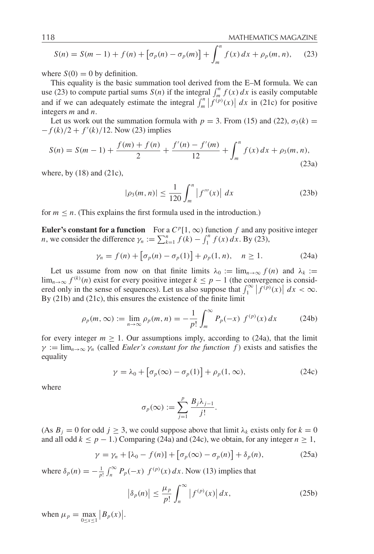$$
S(n) = S(m-1) + f(n) + [\sigma_p(n) - \sigma_p(m)] + \int_m^n f(x) dx + \rho_p(m, n), \quad (23)
$$

where  $S(0) = 0$  by definition.

This equality is the basic summation tool derived from the E–M formula. We can use (23) to compute partial sums *S*(*n*) if the integral  $\int_{m}^{n} f(x) dx$  is easily computable and if we can adequately estimate the integral  $\int_{m}^{n} |f^{(p)}(x)| dx$  in (21c) for positive integers *m* and *n*.

Let us work out the summation formula with  $p = 3$ . From (15) and (22),  $\sigma_3(k) =$  $-f(k)/2 + f'(k)/12$ . Now (23) implies

$$
S(n) = S(m-1) + \frac{f(m) + f(n)}{2} + \frac{f'(n) - f'(m)}{12} + \int_{m}^{n} f(x) dx + \rho_3(m, n),
$$
\n(23a)

where, by  $(18)$  and  $(21c)$ ,

$$
|\rho_3(m, n)| \le \frac{1}{120} \int_m^n |f'''(x)| \, dx \tag{23b}
$$

for  $m \leq n$ . (This explains the first formula used in the introduction.)

**Euler's constant for a function** For a  $C^p[1,\infty)$  function *f* and any positive integer *n*, we consider the difference  $\gamma_n := \sum_{k=1}^n f(k) - \int_1^n f(x) dx$ . By (23),

$$
\gamma_n = f(n) + \left[\sigma_p(n) - \sigma_p(1)\right] + \rho_p(1, n), \quad n \ge 1. \tag{24a}
$$

Let us assume from now on that finite limits  $\lambda_0 := \lim_{n \to \infty} f(n)$  and  $\lambda_k :=$ lim<sub>*n*→∞</sub>  $f^{(k)}(n)$  exist for every positive integer  $k \leq p-1$  (the convergence is considered only in the sense of sequences). Let us also suppose that  $\int_1^{\infty} |f^{(p)}(x)| dx < \infty$ . By (21b) and (21c), this ensures the existence of the finite limit

$$
\rho_p(m, \infty) := \lim_{n \to \infty} \rho_p(m, n) = -\frac{1}{p!} \int_m^{\infty} P_p(-x) f^{(p)}(x) dx \tag{24b}
$$

for every integer  $m \geq 1$ . Our assumptions imply, according to (24a), that the limit  $\gamma := \lim_{n \to \infty} \gamma_n$  (called *Euler's constant for the function f*) exists and satisfies the equality

$$
\gamma = \lambda_0 + [\sigma_p(\infty) - \sigma_p(1)] + \rho_p(1, \infty), \qquad (24c)
$$

where

$$
\sigma_p(\infty) := \sum_{j=1}^p \frac{B_j \lambda_{j-1}}{j!}.
$$

(As  $B_j = 0$  for odd  $j \ge 3$ , we could suppose above that limit  $\lambda_k$  exists only for  $k = 0$ and all odd  $k \leq p - 1$ .) Comparing (24a) and (24c), we obtain, for any integer  $n \geq 1$ ,

$$
\gamma = \gamma_n + [\lambda_0 - f(n)] + [\sigma_p(\infty) - \sigma_p(n)] + \delta_p(n), \qquad (25a)
$$

where  $\delta_p(n) = -\frac{1}{p!} \int_n^{\infty} P_p(-x) f^{(p)}(x) dx$ . Now (13) implies that

$$
\left|\delta_p(n)\right| \le \frac{\mu_p}{p!} \int_n^\infty \left|f^{(p)}(x)\right| dx,\tag{25b}
$$

when  $\mu_p = \max_{0 \le x \le 1} |B_p(x)|$ .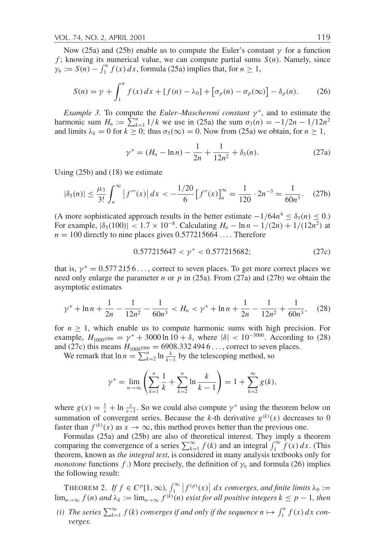Now (25a) and (25b) enable us to compute the Euler's constant  $\gamma$  for a function *f*; knowing its numerical value, we can compute partial sums  $S(n)$ . Namely, since  $\gamma_n := S(n) - \int_1^n f(x) dx$ , formula (25a) implies that, for  $n \ge 1$ ,

$$
S(n) = \gamma + \int_1^n f(x) dx + [f(n) - \lambda_0] + [\sigma_p(n) - \sigma_p(\infty)] - \delta_p(n). \tag{26}
$$

*Example 3.* To compute the *Euler–Mascheroni constant*  $\gamma^*$ , and to estimate the harmonic sum  $H_n := \sum_{k=1}^n 1/k$  we use in (25a) the sum  $\sigma_3(n) = -1/2n - 1/12n^2$ and limits  $\lambda_k = 0$  for  $k \geq 0$ ; thus  $\sigma_3(\infty) = 0$ . Now from (25a) we obtain, for  $n \geq 1$ ,

$$
\gamma^* = (H_n - \ln n) - \frac{1}{2n} + \frac{1}{12n^2} + \delta_3(n). \tag{27a}
$$

Using (25b) and (18) we estimate

$$
|\delta_3(n)| \le \frac{\mu_3}{3!} \int_n^{\infty} \left| f'''(x) \right| dx < -\frac{1/20}{6} \left[ f''(x) \right]_n^{\infty} = \frac{1}{120} \cdot 2n^{-3} = \frac{1}{60n^3}.
$$
 (27b)

(A more sophisticated approach results in the better estimate  $-1/64n^4 \leq \delta_3(n) \leq 0$ .) For example,  $|\delta_3(100)| < 1.7 \times 10^{-8}$ . Calculating  $H_n - \ln n - 1/(2n) + 1/(12n^2)$  at  $n = 100$  directly to nine places gives  $0.577215664...$  Therefore

$$
0.577215647 < \gamma^* < 0.577215682;
$$
 (27c)

that is,  $\gamma^* = 0.5772156...$ , correct to seven places. To get more correct places we need only enlarge the parameter *n* or *p* in (25a). From (27a) and (27b) we obtain the asymptotic estimates

$$
\gamma^* + \ln n + \frac{1}{2n} - \frac{1}{12n^2} - \frac{1}{60n^3} < H_n < \gamma^* + \ln n + \frac{1}{2n} - \frac{1}{12n^2} + \frac{1}{60n^3},\tag{28}
$$

for  $n \geq 1$ , which enable us to compute harmonic sums with high precision. For example,  $H_{1000^{1000}} = \gamma^* + 3000 \ln 10 + \delta$ , where  $|\delta| < 10^{-3000}$ . According to (28) and (27c) this means  $H_{1000^{1000}} = 6908.3324946...$ , correct to seven places.

We remark that  $\ln n = \sum_{k=2}^{n} \ln \frac{k}{k-1}$  by the telescoping method, so

$$
\gamma^* = \lim_{n \to \infty} \left( \sum_{k=1}^n \frac{1}{k} + \sum_{k=2}^n \ln \frac{k}{k-1} \right) = 1 + \sum_{k=2}^\infty g(k),
$$

where  $g(x) = \frac{1}{x} + \ln \frac{x}{x-1}$ . So we could also compute  $\gamma^*$  using the theorem below on summation of convergent series. Because the *k*-th derivative  $g^{(k)}(x)$  decreases to 0 faster than  $f^{(k)}(x)$  as  $x \to \infty$ , this method proves better than the previous one.

Formulas (25a) and (25b) are also of theoretical interest. They imply a theorem comparing the convergence of a series  $\sum_{k=1}^{\infty} f(k)$  and an integral  $\int_{1}^{\infty} f(x) dx$ . (This theorem, known as *the integral test*, is considered in many analysis textbooks only for *monotone* functions  $f$ .) More precisely, the definition of  $\gamma_n$  and formula (26) implies the following result:

THEOREM 2. *If*  $f \in C^p[1,\infty)$ ,  $\int_1^\infty |f^{(p)}(x)| dx$  converges, and finite limits  $\lambda_0 :=$  $\lim_{n\to\infty} f(n)$  and  $\lambda_k := \lim_{n\to\infty} f^{(k)}(n)$  exist for all positive integers  $k \leq p-1$ , then

*(i)* The series  $\sum_{k=1}^{\infty} f(k)$  converges if and only if the sequence  $n \mapsto \int_{1}^{n} f(x) dx$  con*verges.*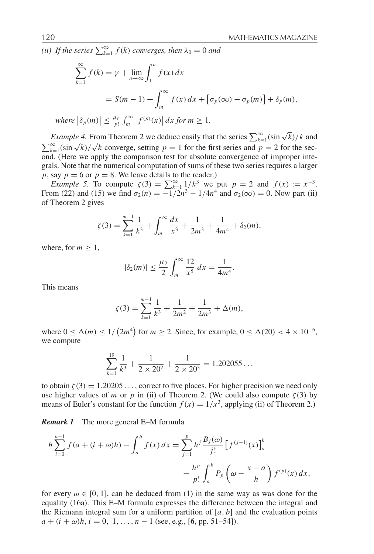*(ii)* If the series  $\sum_{k=1}^{\infty} f(k)$  converges, then  $\lambda_0 = 0$  and

$$
\sum_{k=1}^{\infty} f(k) = \gamma + \lim_{n \to \infty} \int_{1}^{n} f(x) dx
$$
  
=  $S(m - 1) + \int_{m}^{\infty} f(x) dx + [\sigma_p(\infty) - \sigma_p(m)] + \delta_p(m),$   
where  $|\delta_p(m)| \le \frac{\mu_p}{p!} \int_{m}^{\infty} |f^{(p)}(x)| dx \text{ for } m \ge 1.$ 

*Example 4.* From Theorem 2 we deduce easily that the series  $\sum_{k=1}^{\infty} (\sin \sqrt{k})/k$  and *k*<sub>k=1</sub>(sin  $\sqrt{k}$ )/ $\sqrt{k}$  converge, setting *p* = 1 for the first series and *p* = 2 for the sec- $\sum_{k=1}^{\infty}$  (Here we apply the comparison test for absolute convergence of improper integrals. Note that the numerical computation of sums of these two series requires a larger *p*, say  $p = 6$  or  $p = 8$ . We leave details to the reader.)

*Example 5.* To compute  $\zeta(3) = \sum_{k=1}^{\infty} \frac{1}{k^3}$  we put  $p = 2$  and  $f(x) := x^{-3}$ . From (22) and (15) we find  $\sigma_2(n) = -1/2n^3 - 1/4n^4$  and  $\sigma_2(\infty) = 0$ . Now part (ii) of Theorem 2 gives

$$
\zeta(3) = \sum_{k=1}^{m-1} \frac{1}{k^3} + \int_m^{\infty} \frac{dx}{x^3} + \frac{1}{2m^3} + \frac{1}{4m^4} + \delta_2(m),
$$

where, for  $m \geq 1$ ,

$$
|\delta_2(m)| \le \frac{\mu_2}{2} \int_m^{\infty} \frac{12}{x^5} \, dx = \frac{1}{4m^4}.
$$

This means

$$
\zeta(3) = \sum_{k=1}^{m-1} \frac{1}{k^3} + \frac{1}{2m^2} + \frac{1}{2m^3} + \Delta(m),
$$

where  $0 \leq \Delta(m) \leq 1/(2m^4)$  for  $m \geq 2$ . Since, for example,  $0 \leq \Delta(20) < 4 \times 10^{-6}$ , we compute

$$
\sum_{k=1}^{19} \frac{1}{k^3} + \frac{1}{2 \times 20^2} + \frac{1}{2 \times 20^3} = 1.202055...
$$

to obtain  $\zeta(3) = 1.20205...$ , correct to five places. For higher precision we need only use higher values of *m* or *p* in (ii) of Theorem 2. (We could also compute  $\zeta(3)$  by means of Euler's constant for the function  $f(x) = 1/x^3$ , applying (ii) of Theorem 2.)

*Remark 1* The more general E–M formula

$$
h\sum_{i=0}^{n-1} f(a + (i + \omega)h) - \int_a^b f(x) dx = \sum_{j=1}^p h^j \frac{B_j(\omega)}{j!} \left[ f^{(j-1)}(x) \right]_a^b
$$

$$
- \frac{h^p}{p!} \int_a^b P_p \left( \omega - \frac{x - a}{h} \right) f^{(p)}(x) dx,
$$

for every  $\omega \in [0, 1]$ , can be deduced from (1) in the same way as was done for the equality (16a). This E–M formula expresses the difference between the integral and the Riemann integral sum for a uniform partition of  $[a, b]$  and the evaluation points  $a + (i + \omega)h$ ,  $i = 0, 1, \ldots, n - 1$  (see, e.g., [6, pp. 51–54]).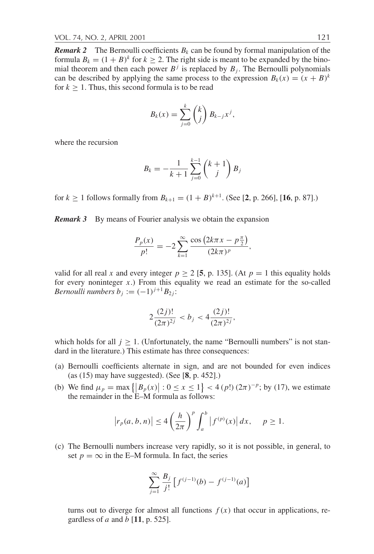*Remark 2* The Bernoulli coefficients  $B_k$  can be found by formal manipulation of the formula  $B_k = (1 + B)^k$  for  $k \ge 2$ . The right side is meant to be expanded by the binomial theorem and then each power  $B<sup>j</sup>$  is replaced by  $B<sub>j</sub>$ . The Bernoulli polynomials can be described by applying the same process to the expression  $B_k(x) = (x + B)^k$ for  $k \geq 1$ . Thus, this second formula is to be read

$$
B_k(x) = \sum_{j=0}^k {k \choose j} B_{k-j} x^j,
$$

where the recursion

$$
B_k = -\frac{1}{k+1} \sum_{j=0}^{k-1} {k+1 \choose j} B_j
$$

for  $k \ge 1$  follows formally from  $B_{k+1} = (1 + B)^{k+1}$ . (See [2, p. 266], [16, p. 87].)

*Remark 3* By means of Fourier analysis we obtain the expansion

$$
\frac{P_p(x)}{p!} = -2 \sum_{k=1}^{\infty} \frac{\cos (2k\pi x - p\frac{\pi}{2})}{(2k\pi)^p},
$$

valid for all real *x* and every integer  $p > 2$  [5, p. 135]. (At  $p = 1$  this equality holds for every noninteger *x*.) From this equality we read an estimate for the so-called *Bernoulli numbers*  $b_i := (-1)^{j+1} B_{2i}$ :

$$
2\frac{(2j)!}{(2\pi)^{2j}} < b_j < 4\frac{(2j)!}{(2\pi)^{2j}},
$$

which holds for all  $j \geq 1$ . (Unfortunately, the name "Bernoulli numbers" is not standard in the literature.) This estimate has three consequences:

- (a) Bernoulli coefficients alternate in sign, and are not bounded for even indices (as (15) may have suggested). (See [**8**, p. 452].)
- (b) We find  $\mu_p = \max\{|B_p(x)| : 0 \le x \le 1\} < 4$  (*p*!)  $(2\pi)^{-p}$ ; by (17), we estimate the remainder in the E–M formula as follows:

$$
\left| r_p(a,b,n) \right| \le 4 \left( \frac{h}{2\pi} \right)^p \int_a^b \left| f^{(p)}(x) \right| dx, \quad p \ge 1.
$$

(c) The Bernoulli numbers increase very rapidly, so it is not possible, in general, to set  $p = \infty$  in the E–M formula. In fact, the series

$$
\sum_{j=1}^{\infty} \frac{B_j}{j!} \left[ f^{(j-1)}(b) - f^{(j-1)}(a) \right]
$$

turns out to diverge for almost all functions  $f(x)$  that occur in applications, regardless of *a* and *b* [**11**, p. 525].